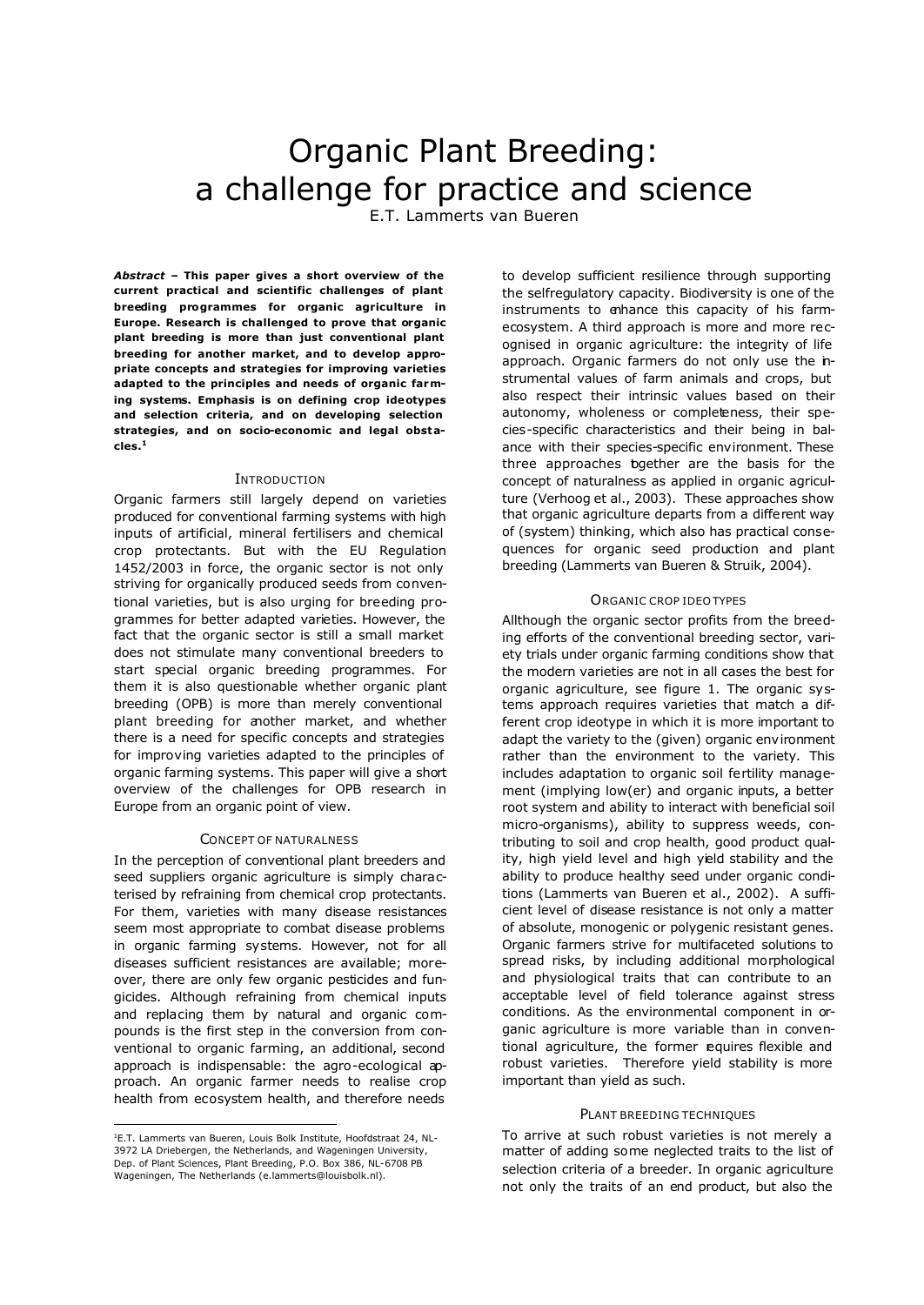# Organic Plant Breeding: a challenge for practice and science

E.T. Lammerts van Bueren

*Abstract –* **This paper gives a short overview of the current practical and scientific challenges of plant breeding programmes for organic agriculture in Europe. Research is challenged to prove that organic plant breeding is more than just conventional plant breeding for another market, and to develop appropriate concepts and strategies for improving varieties adapted to the principles and needs of organic farming systems. Emphasis is on defining crop ideotypes and selection criteria, and on developing selection strategies, and on socio-economic and legal obstacles.<sup>1</sup>**

## **INTRODUCTION**

Organic farmers still largely depend on varieties produced for conventional farming systems with high inputs of artificial, mineral fertilisers and chemical crop protectants. But with the EU Regulation 1452/2003 in force, the organic sector is not only striving for organically produced seeds from conventional varieties, but is also urging for breeding programmes for better adapted varieties. However, the fact that the organic sector is still a small market does not stimulate many conventional breeders to start special organic breeding programmes. For them it is also questionable whether organic plant breeding (OPB) is more than merely conventional plant breeding for another market, and whether there is a need for specific concepts and strategies for improving varieties adapted to the principles of organic farming systems. This paper will give a short overview of the challenges for OPB research in Europe from an organic point of view.

# CONCEPT OF NATURALNESS

In the perception of conventional plant breeders and seed suppliers organic agriculture is simply characterised by refraining from chemical crop protectants. For them, varieties with many disease resistances seem most appropriate to combat disease problems in organic farming systems. However, not for all diseases sufficient resistances are available; moreover, there are only few organic pesticides and fungicides. Although refraining from chemical inputs and replacing them by natural and organic compounds is the first step in the conversion from conventional to organic farming, an additional, second approach is indispensable: the agro-ecological approach. An organic farmer needs to realise crop health from ecosystem health, and therefore needs

to develop sufficient resilience through supporting the selfregulatory capacity. Biodiversity is one of the instruments to enhance this capacity of his farmecosystem. A third approach is more and more recognised in organic agriculture: the integrity of life approach. Organic farmers do not only use the instrumental values of farm animals and crops, but also respect their intrinsic values based on their autonomy, wholeness or completeness, their species-specific characteristics and their being in balance with their species-specific environment. These three approaches bgether are the basis for the concept of naturalness as applied in organic agriculture (Verhoog et al., 2003). These approaches show that organic agriculture departs from a different way of (system) thinking, which also has practical consequences for organic seed production and plant breeding (Lammerts van Bueren & Struik, 2004).

#### ORGANIC CROP IDEOTYPES

Allthough the organic sector profits from the breeding efforts of the conventional breeding sector, variety trials under organic farming conditions show that the modern varieties are not in all cases the best for organic agriculture, see figure 1. The organic systems approach requires varieties that match a different crop ideotype in which it is more important to adapt the variety to the (given) organic environment rather than the environment to the variety. This includes adaptation to organic soil fertility management (implying low(er) and organic inputs, a better root system and ability to interact with beneficial soil micro-organisms), ability to suppress weeds, contributing to soil and crop health, good product quality, high yield level and high yield stability and the ability to produce healthy seed under organic conditions (Lammerts van Bueren et al., 2002). A sufficient level of disease resistance is not only a matter of absolute, monogenic or polygenic resistant genes. Organic farmers strive for multifaceted solutions to spread risks, by including additional morphological and physiological traits that can contribute to an acceptable level of field tolerance against stress conditions. As the environmental component in organic agriculture is more variable than in conventional agriculture, the former equires flexible and robust varieties. Therefore yield stability is more important than yield as such.

## PLANT BREEDING TECHNIQUES

To arrive at such robust varieties is not merely a matter of adding some neglected traits to the list of selection criteria of a breeder. In organic agriculture not only the traits of an end product, but also the

 $\overline{a}$ 1E.T. Lammerts van Bueren, Louis Bolk Institute, Hoofdstraat 24, NL-3972 LA Driebergen, the Netherlands, and Wageningen University, Dep. of Plant Sciences, Plant Breeding, P.O. Box 386, NL-6708 PB Wageningen, The Netherlands (e.lammerts@louisbolk.nl).